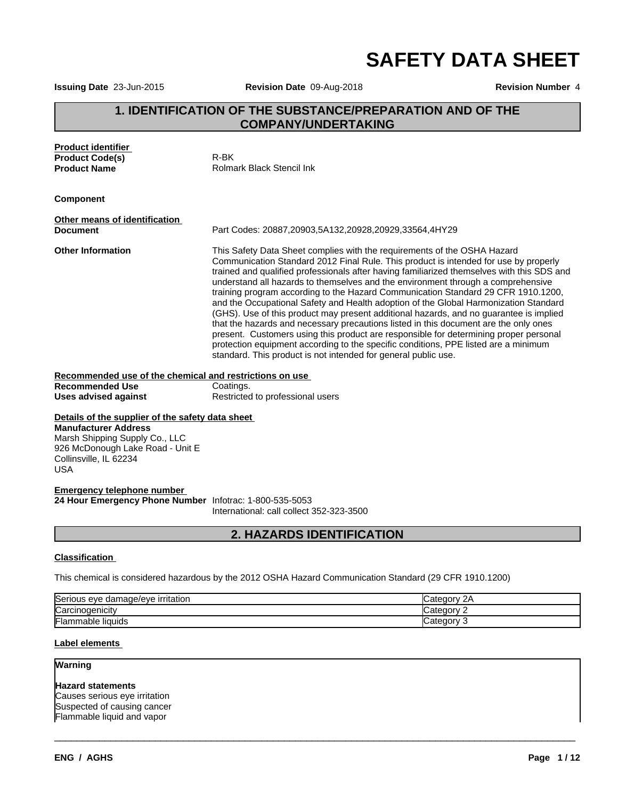**SAFETY DATA SHEET**

**Issuing Date** 23-Jun-2015 **Revision Date** 09-Aug-2018 **Revision Number** 4

# **1. IDENTIFICATION OF THE SUBSTANCE/PREPARATION AND OF THE COMPANY/UNDERTAKING**

| <b>Product identifier</b><br><b>Product Code(s)</b><br><b>Product Name</b>                                                                                                                    | R-BK<br>Rolmark Black Stencil Ink                                                                                                                                                                                                                                                                                                                                                                                                                                                                                                                                                                                                                                                                                                                                                                                                                                                                                                                                   |             |  |
|-----------------------------------------------------------------------------------------------------------------------------------------------------------------------------------------------|---------------------------------------------------------------------------------------------------------------------------------------------------------------------------------------------------------------------------------------------------------------------------------------------------------------------------------------------------------------------------------------------------------------------------------------------------------------------------------------------------------------------------------------------------------------------------------------------------------------------------------------------------------------------------------------------------------------------------------------------------------------------------------------------------------------------------------------------------------------------------------------------------------------------------------------------------------------------|-------------|--|
| <b>Component</b>                                                                                                                                                                              |                                                                                                                                                                                                                                                                                                                                                                                                                                                                                                                                                                                                                                                                                                                                                                                                                                                                                                                                                                     |             |  |
| Other means of identification                                                                                                                                                                 |                                                                                                                                                                                                                                                                                                                                                                                                                                                                                                                                                                                                                                                                                                                                                                                                                                                                                                                                                                     |             |  |
| <b>Document</b>                                                                                                                                                                               | Part Codes: 20887,20903,5A132,20928,20929,33564,4HY29                                                                                                                                                                                                                                                                                                                                                                                                                                                                                                                                                                                                                                                                                                                                                                                                                                                                                                               |             |  |
| <b>Other Information</b>                                                                                                                                                                      | This Safety Data Sheet complies with the requirements of the OSHA Hazard<br>Communication Standard 2012 Final Rule. This product is intended for use by properly<br>trained and qualified professionals after having familiarized themselves with this SDS and<br>understand all hazards to themselves and the environment through a comprehensive<br>training program according to the Hazard Communication Standard 29 CFR 1910.1200,<br>and the Occupational Safety and Health adoption of the Global Harmonization Standard<br>(GHS). Use of this product may present additional hazards, and no guarantee is implied<br>that the hazards and necessary precautions listed in this document are the only ones<br>present. Customers using this product are responsible for determining proper personal<br>protection equipment according to the specific conditions, PPE listed are a minimum<br>standard. This product is not intended for general public use. |             |  |
| Recommended use of the chemical and restrictions on use                                                                                                                                       |                                                                                                                                                                                                                                                                                                                                                                                                                                                                                                                                                                                                                                                                                                                                                                                                                                                                                                                                                                     |             |  |
| <b>Recommended Use</b>                                                                                                                                                                        | Coatings.                                                                                                                                                                                                                                                                                                                                                                                                                                                                                                                                                                                                                                                                                                                                                                                                                                                                                                                                                           |             |  |
| <b>Uses advised against</b>                                                                                                                                                                   | Restricted to professional users                                                                                                                                                                                                                                                                                                                                                                                                                                                                                                                                                                                                                                                                                                                                                                                                                                                                                                                                    |             |  |
| Details of the supplier of the safety data sheet<br><b>Manufacturer Address</b><br>Marsh Shipping Supply Co., LLC<br>926 McDonough Lake Road - Unit E<br>Collinsville, IL 62234<br><b>USA</b> |                                                                                                                                                                                                                                                                                                                                                                                                                                                                                                                                                                                                                                                                                                                                                                                                                                                                                                                                                                     |             |  |
| <b>Emergency telephone number</b><br>24 Hour Emergency Phone Number Infotrac: 1-800-535-5053                                                                                                  | International: call collect 352-323-3500                                                                                                                                                                                                                                                                                                                                                                                                                                                                                                                                                                                                                                                                                                                                                                                                                                                                                                                            |             |  |
|                                                                                                                                                                                               | <b>2. HAZARDS IDENTIFICATION</b>                                                                                                                                                                                                                                                                                                                                                                                                                                                                                                                                                                                                                                                                                                                                                                                                                                                                                                                                    |             |  |
| <b>Classification</b>                                                                                                                                                                         |                                                                                                                                                                                                                                                                                                                                                                                                                                                                                                                                                                                                                                                                                                                                                                                                                                                                                                                                                                     |             |  |
|                                                                                                                                                                                               |                                                                                                                                                                                                                                                                                                                                                                                                                                                                                                                                                                                                                                                                                                                                                                                                                                                                                                                                                                     |             |  |
|                                                                                                                                                                                               | This chemical is considered hazardous by the 2012 OSHA Hazard Communication Standard (29 CFR 1910.1200)                                                                                                                                                                                                                                                                                                                                                                                                                                                                                                                                                                                                                                                                                                                                                                                                                                                             |             |  |
| Serious eye damage/eye irritation                                                                                                                                                             |                                                                                                                                                                                                                                                                                                                                                                                                                                                                                                                                                                                                                                                                                                                                                                                                                                                                                                                                                                     | Category 2A |  |
| Carcinogenicity                                                                                                                                                                               |                                                                                                                                                                                                                                                                                                                                                                                                                                                                                                                                                                                                                                                                                                                                                                                                                                                                                                                                                                     | Category 2  |  |
| lFlammable liquids<br>Category 3                                                                                                                                                              |                                                                                                                                                                                                                                                                                                                                                                                                                                                                                                                                                                                                                                                                                                                                                                                                                                                                                                                                                                     |             |  |

 $\overline{\phantom{a}}$  ,  $\overline{\phantom{a}}$  ,  $\overline{\phantom{a}}$  ,  $\overline{\phantom{a}}$  ,  $\overline{\phantom{a}}$  ,  $\overline{\phantom{a}}$  ,  $\overline{\phantom{a}}$  ,  $\overline{\phantom{a}}$  ,  $\overline{\phantom{a}}$  ,  $\overline{\phantom{a}}$  ,  $\overline{\phantom{a}}$  ,  $\overline{\phantom{a}}$  ,  $\overline{\phantom{a}}$  ,  $\overline{\phantom{a}}$  ,  $\overline{\phantom{a}}$  ,  $\overline{\phantom{a}}$ 

### **Label elements**

**Warning**

**Hazard statements** Causes serious eye irritation Suspected of causing cancer Flammable liquid and vapor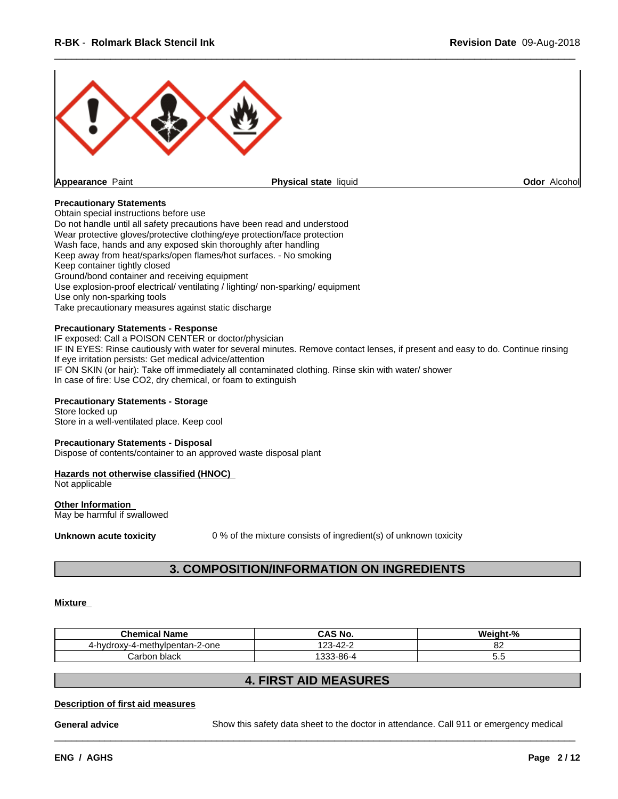

#### **Precautionary Statements**

Obtain special instructions before use Do not handle until all safety precautions have been read and understood Wear protective gloves/protective clothing/eye protection/face protection Wash face, hands and any exposed skin thoroughly after handling Keep away from heat/sparks/open flames/hot surfaces. - No smoking Keep container tightly closed Ground/bond container and receiving equipment Use explosion-proof electrical/ ventilating / lighting/ non-sparking/ equipment Use only non-sparking tools Take precautionary measures against static discharge

#### **Precautionary Statements - Response**

IF exposed: Call a POISON CENTER or doctor/physician IF IN EYES: Rinse cautiously with water for several minutes. Remove contact lenses, if present and easy to do. Continue rinsing If eye irritation persists: Get medical advice/attention IF ON SKIN (or hair): Take off immediately all contaminated clothing. Rinse skin with water/ shower In case of fire: Use CO2, dry chemical, or foam to extinguish

#### **Precautionary Statements - Storage**

Store locked up Store in a well-ventilated place. Keep cool

#### **Precautionary Statements - Disposal**

Dispose of contents/container to an approved waste disposal plant

## **Hazards not otherwise classified (HNOC)**

Not applicable

#### **Other Information** May be harmful if swallowed

**Unknown acute toxicity** 0 % of the mixture consists of ingredient(s) of unknown toxicity

## **3. COMPOSITION/INFORMATION ON INGREDIENTS**

#### **Mixture**

| <b>Chemical Name</b>              | <b>CAS No.</b>               | <br>О.<br><b>Neight-</b><br>- 70 |
|-----------------------------------|------------------------------|----------------------------------|
| -hvdroxv-4-methvlpentan-2-one<br> | $\sim$<br>100<br>- 71<br>−   | ~~<br>0Z                         |
| Carbon black                      | $\sim$<br>`3-86-∠<br>$\cdot$ | ັບ.                              |

## **4. FIRST AID MEASURES**

#### **Description of first aid measures**

**General advice** Show this safety data sheet to the doctor in attendance. Call 911 or emergency medical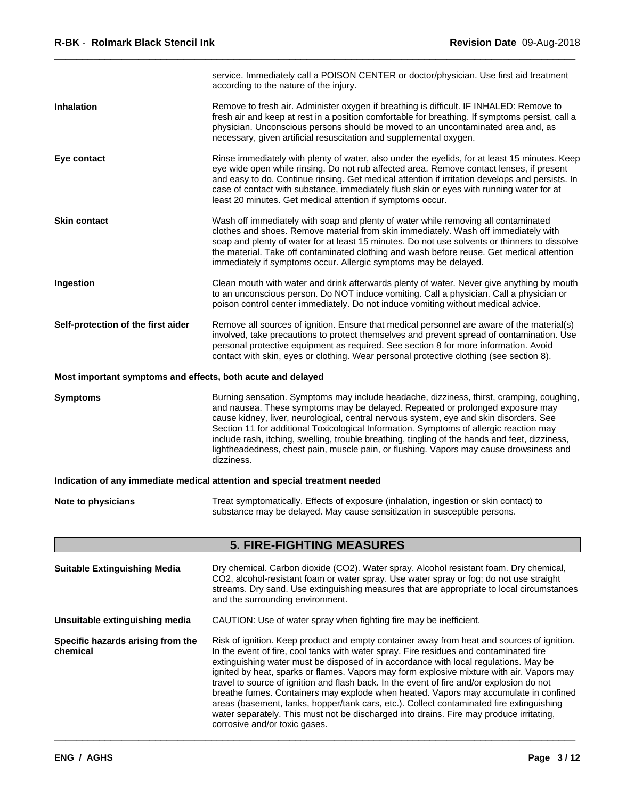|                                                             | service. Immediately call a POISON CENTER or doctor/physician. Use first aid treatment<br>according to the nature of the injury.                                                                                                                                                                                                                                                                                                                                                                                                                                        |
|-------------------------------------------------------------|-------------------------------------------------------------------------------------------------------------------------------------------------------------------------------------------------------------------------------------------------------------------------------------------------------------------------------------------------------------------------------------------------------------------------------------------------------------------------------------------------------------------------------------------------------------------------|
| Inhalation                                                  | Remove to fresh air. Administer oxygen if breathing is difficult. IF INHALED: Remove to<br>fresh air and keep at rest in a position comfortable for breathing. If symptoms persist, call a<br>physician. Unconscious persons should be moved to an uncontaminated area and, as<br>necessary, given artificial resuscitation and supplemental oxygen.                                                                                                                                                                                                                    |
| Eye contact                                                 | Rinse immediately with plenty of water, also under the eyelids, for at least 15 minutes. Keep<br>eye wide open while rinsing. Do not rub affected area. Remove contact lenses, if present<br>and easy to do. Continue rinsing. Get medical attention if irritation develops and persists. In<br>case of contact with substance, immediately flush skin or eyes with running water for at<br>least 20 minutes. Get medical attention if symptoms occur.                                                                                                                  |
| <b>Skin contact</b>                                         | Wash off immediately with soap and plenty of water while removing all contaminated<br>clothes and shoes. Remove material from skin immediately. Wash off immediately with<br>soap and plenty of water for at least 15 minutes. Do not use solvents or thinners to dissolve<br>the material. Take off contaminated clothing and wash before reuse. Get medical attention<br>immediately if symptoms occur. Allergic symptoms may be delayed.                                                                                                                             |
| Ingestion                                                   | Clean mouth with water and drink afterwards plenty of water. Never give anything by mouth<br>to an unconscious person. Do NOT induce vomiting. Call a physician. Call a physician or<br>poison control center immediately. Do not induce vomiting without medical advice.                                                                                                                                                                                                                                                                                               |
| Self-protection of the first aider                          | Remove all sources of ignition. Ensure that medical personnel are aware of the material(s)<br>involved, take precautions to protect themselves and prevent spread of contamination. Use<br>personal protective equipment as required. See section 8 for more information. Avoid<br>contact with skin, eyes or clothing. Wear personal protective clothing (see section 8).                                                                                                                                                                                              |
| Most important symptoms and effects, both acute and delayed |                                                                                                                                                                                                                                                                                                                                                                                                                                                                                                                                                                         |
| <b>Symptoms</b>                                             | Burning sensation. Symptoms may include headache, dizziness, thirst, cramping, coughing,<br>and nausea. These symptoms may be delayed. Repeated or prolonged exposure may<br>cause kidney, liver, neurological, central nervous system, eye and skin disorders. See<br>Section 11 for additional Toxicological Information. Symptoms of allergic reaction may<br>include rash, itching, swelling, trouble breathing, tingling of the hands and feet, dizziness,<br>lightheadedness, chest pain, muscle pain, or flushing. Vapors may cause drowsiness and<br>dizziness. |
|                                                             | Indication of any immediate medical attention and special treatment needed                                                                                                                                                                                                                                                                                                                                                                                                                                                                                              |
| Note to physicians                                          | Treat symptomatically. Effects of exposure (inhalation, ingestion or skin contact) to<br>substance may be delayed. May cause sensitization in susceptible persons.                                                                                                                                                                                                                                                                                                                                                                                                      |
|                                                             | <b>5. FIRE-FIGHTING MEASURES</b>                                                                                                                                                                                                                                                                                                                                                                                                                                                                                                                                        |
| <b>Suitable Extinguishing Media</b>                         | Dry chemical. Carbon dioxide (CO2). Water spray. Alcohol resistant foam. Dry chemical,<br>CO2, alcohol-resistant foam or water spray. Use water spray or fog; do not use straight<br>streams. Dry sand. Use extinguishing measures that are appropriate to local circumstances<br>and the surrounding environment.                                                                                                                                                                                                                                                      |
| Unsuitable extinguishing media                              | CAUTION: Use of water spray when fighting fire may be inefficient.                                                                                                                                                                                                                                                                                                                                                                                                                                                                                                      |
| Specific hazards arising from the                           | Risk of ignition. Keep product and empty container away from heat and sources of ignition.                                                                                                                                                                                                                                                                                                                                                                                                                                                                              |

**Specific hazards arising from the chemical** Risk of ignition. Keep product and empty container away from heat and sources of ignition. In the event of fire, cool tanks with water spray. Fire residues and contaminated fire extinguishing water must be disposed of in accordance with local regulations. May be ignited by heat, sparks or flames. Vapors may form explosive mixture with air. Vapors may travel to source of ignition and flash back. In the event of fire and/or explosion do not breathe fumes. Containers may explode when heated. Vapors may accumulate in confined areas (basement, tanks, hopper/tank cars, etc.). Collect contaminated fire extinguishing water separately. This must not be discharged into drains. Fire may produce irritating, corrosive and/or toxic gases.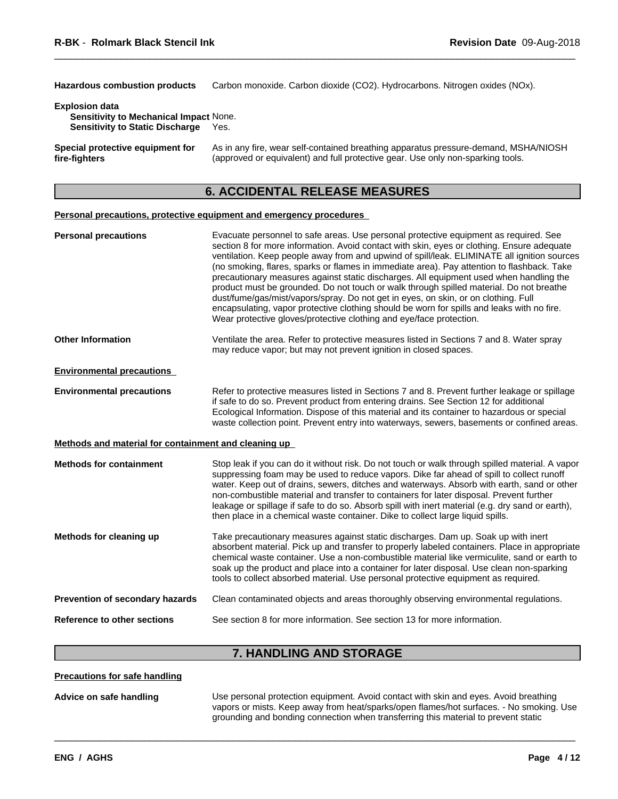Hazardous combustion products Carbon monoxide. Carbon dioxide (CO2). Hydrocarbons. Nitrogen oxides (NOx).

#### **Explosion data**

| <b>Sensitivity to Mechanical Impact None.</b> |      |
|-----------------------------------------------|------|
| <b>Sensitivity to Static Discharge</b>        | Yes. |

**Special protective equipment for fire-fighters** As in any fire, wear self-contained breathing apparatus pressure-demand, MSHA/NIOSH (approved or equivalent) and full protective gear. Use only non-sparking tools.

## **6. ACCIDENTAL RELEASE MEASURES**

#### **Personal precautions, protective equipment and emergency procedures**

| <b>Personal precautions</b>                          | Evacuate personnel to safe areas. Use personal protective equipment as required. See<br>section 8 for more information. Avoid contact with skin, eyes or clothing. Ensure adequate<br>ventilation. Keep people away from and upwind of spill/leak. ELIMINATE all ignition sources<br>(no smoking, flares, sparks or flames in immediate area). Pay attention to flashback. Take<br>precautionary measures against static discharges. All equipment used when handling the<br>product must be grounded. Do not touch or walk through spilled material. Do not breathe<br>dust/fume/gas/mist/vapors/spray. Do not get in eyes, on skin, or on clothing. Full<br>encapsulating, vapor protective clothing should be worn for spills and leaks with no fire.<br>Wear protective gloves/protective clothing and eye/face protection. |
|------------------------------------------------------|---------------------------------------------------------------------------------------------------------------------------------------------------------------------------------------------------------------------------------------------------------------------------------------------------------------------------------------------------------------------------------------------------------------------------------------------------------------------------------------------------------------------------------------------------------------------------------------------------------------------------------------------------------------------------------------------------------------------------------------------------------------------------------------------------------------------------------|
| <b>Other Information</b>                             | Ventilate the area. Refer to protective measures listed in Sections 7 and 8. Water spray<br>may reduce vapor; but may not prevent ignition in closed spaces.                                                                                                                                                                                                                                                                                                                                                                                                                                                                                                                                                                                                                                                                    |
| <b>Environmental precautions</b>                     |                                                                                                                                                                                                                                                                                                                                                                                                                                                                                                                                                                                                                                                                                                                                                                                                                                 |
| <b>Environmental precautions</b>                     | Refer to protective measures listed in Sections 7 and 8. Prevent further leakage or spillage<br>if safe to do so. Prevent product from entering drains. See Section 12 for additional<br>Ecological Information. Dispose of this material and its container to hazardous or special<br>waste collection point. Prevent entry into waterways, sewers, basements or confined areas.                                                                                                                                                                                                                                                                                                                                                                                                                                               |
| Methods and material for containment and cleaning up |                                                                                                                                                                                                                                                                                                                                                                                                                                                                                                                                                                                                                                                                                                                                                                                                                                 |
| <b>Methods for containment</b>                       | Stop leak if you can do it without risk. Do not touch or walk through spilled material. A vapor<br>suppressing foam may be used to reduce vapors. Dike far ahead of spill to collect runoff<br>water. Keep out of drains, sewers, ditches and waterways. Absorb with earth, sand or other<br>non-combustible material and transfer to containers for later disposal. Prevent further<br>leakage or spillage if safe to do so. Absorb spill with inert material (e.g. dry sand or earth),<br>then place in a chemical waste container. Dike to collect large liquid spills.                                                                                                                                                                                                                                                      |
| Methods for cleaning up                              | Take precautionary measures against static discharges. Dam up. Soak up with inert<br>absorbent material. Pick up and transfer to properly labeled containers. Place in appropriate<br>chemical waste container. Use a non-combustible material like vermiculite, sand or earth to<br>soak up the product and place into a container for later disposal. Use clean non-sparking<br>tools to collect absorbed material. Use personal protective equipment as required.                                                                                                                                                                                                                                                                                                                                                            |
| Prevention of secondary hazards                      | Clean contaminated objects and areas thoroughly observing environmental regulations.                                                                                                                                                                                                                                                                                                                                                                                                                                                                                                                                                                                                                                                                                                                                            |
| <b>Reference to other sections</b>                   | See section 8 for more information. See section 13 for more information.                                                                                                                                                                                                                                                                                                                                                                                                                                                                                                                                                                                                                                                                                                                                                        |
|                                                      |                                                                                                                                                                                                                                                                                                                                                                                                                                                                                                                                                                                                                                                                                                                                                                                                                                 |

## **7. HANDLING AND STORAGE**

**Precautions for safe handling**

**Advice on safe handling** Use personal protection equipment.Avoid contact with skin and eyes. Avoid breathing vapors or mists. Keep away from heat/sparks/open flames/hot surfaces. - No smoking. Use grounding and bonding connection when transferring this material to prevent static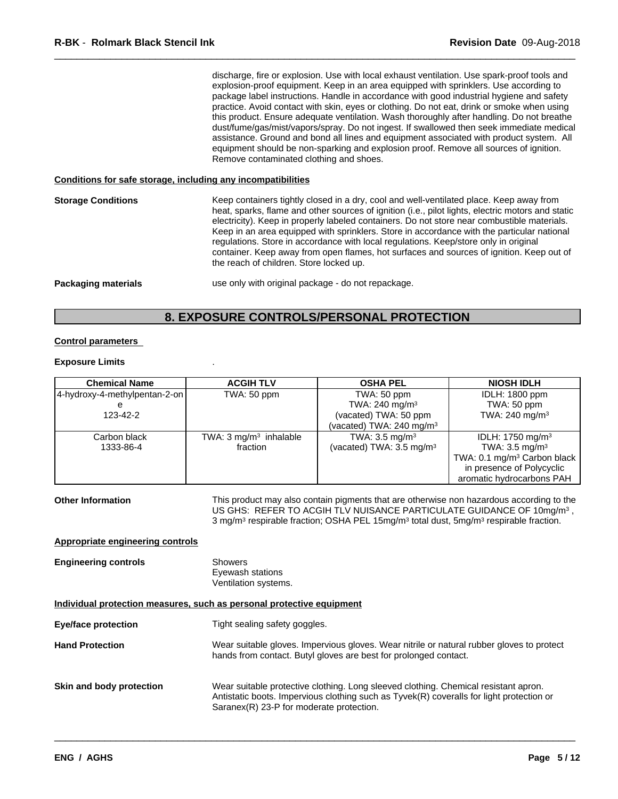|                            | discharge, fire or explosion. Use with local exhaust ventilation. Use spark-proof tools and<br>explosion-proof equipment. Keep in an area equipped with sprinklers. Use according to<br>package label instructions. Handle in accordance with good industrial hygiene and safety<br>practice. Avoid contact with skin, eyes or clothing. Do not eat, drink or smoke when using<br>this product. Ensure adequate ventilation. Wash thoroughly after handling. Do not breathe<br>dust/fume/gas/mist/vapors/spray. Do not ingest. If swallowed then seek immediate medical<br>assistance. Ground and bond all lines and equipment associated with product system. All<br>equipment should be non-sparking and explosion proof. Remove all sources of ignition.<br>Remove contaminated clothing and shoes. |  |
|----------------------------|--------------------------------------------------------------------------------------------------------------------------------------------------------------------------------------------------------------------------------------------------------------------------------------------------------------------------------------------------------------------------------------------------------------------------------------------------------------------------------------------------------------------------------------------------------------------------------------------------------------------------------------------------------------------------------------------------------------------------------------------------------------------------------------------------------|--|
|                            | Conditions for safe storage, including any incompatibilities                                                                                                                                                                                                                                                                                                                                                                                                                                                                                                                                                                                                                                                                                                                                           |  |
| <b>Storage Conditions</b>  | Keep containers tightly closed in a dry, cool and well-ventilated place. Keep away from<br>heat, sparks, flame and other sources of ignition (i.e., pilot lights, electric motors and static<br>electricity). Keep in properly labeled containers. Do not store near combustible materials.<br>Keep in an area equipped with sprinklers. Store in accordance with the particular national<br>regulations. Store in accordance with local regulations. Keep/store only in original<br>container. Keep away from open flames, hot surfaces and sources of ignition. Keep out of<br>the reach of children. Store locked up.                                                                                                                                                                               |  |
| <b>Packaging materials</b> | use only with original package - do not repackage.                                                                                                                                                                                                                                                                                                                                                                                                                                                                                                                                                                                                                                                                                                                                                     |  |

## **8. EXPOSURE CONTROLS/PERSONAL PROTECTION**

#### **Control parameters**

#### **Exposure Limits** .

| <b>Chemical Name</b>          | <b>ACGIH TLV</b>                  | <b>OSHA PEL</b>                     | <b>NIOSH IDLH</b>                       |
|-------------------------------|-----------------------------------|-------------------------------------|-----------------------------------------|
| 4-hydroxy-4-methylpentan-2-on | TWA: 50 ppm                       | TWA: 50 ppm                         | <b>IDLH: 1800 ppm</b>                   |
|                               |                                   | TWA: $240$ mg/m <sup>3</sup>        | TWA: 50 ppm                             |
| 123-42-2                      |                                   | (vacated) TWA: 50 ppm               | TWA: 240 mg/m <sup>3</sup>              |
|                               |                                   | (vacated) TWA: 240 mg/m $3$         |                                         |
| Carbon black                  | TWA: $3 \text{ mg/m}^3$ inhalable | TWA: $3.5 \text{ mg/m}^3$           | IDLH: 1750 mg/m <sup>3</sup>            |
| 1333-86-4                     | fraction                          | (vacated) TWA: $3.5 \text{ mg/m}^3$ | TWA: $3.5 \text{ mg/m}^3$               |
|                               |                                   |                                     | TWA: 0.1 mg/m <sup>3</sup> Carbon black |
|                               |                                   |                                     | in presence of Polycyclic               |
|                               |                                   |                                     | aromatic hydrocarbons PAH               |

**Other Information** This product may also contain pigments that are otherwise non hazardous according to the US GHS: REFER TO ACGIH TLV NUISANCE PARTICULATE GUIDANCE OF 10mg/m<sup>3</sup>, , 3 mg/m<sup>3</sup> respirable fraction; OSHA PEL 15mg/m<sup>3</sup> total dust, 5mg/m<sup>3</sup> respirable fraction.

#### **Appropriate engineering controls**

| Showers              |
|----------------------|
| Eyewash stations     |
| Ventilation systems. |
|                      |

#### **Individual protection measures, such as personal protective equipment**

| <b>Eye/face protection</b> | Tight sealing safety goggles. |
|----------------------------|-------------------------------|
|----------------------------|-------------------------------|

**Hand Protection** Wear suitable gloves. Impervious gloves. Wear nitrile or natural rubber gloves to protect hands from contact. Butyl gloves are best for prolonged contact.

**Skin and body protection** Wear suitable protective clothing. Long sleeved clothing. Chemical resistant apron. Antistatic boots. Impervious clothing such as Tyvek(R) coveralls for light protection or Saranex(R) 23-P for moderate protection.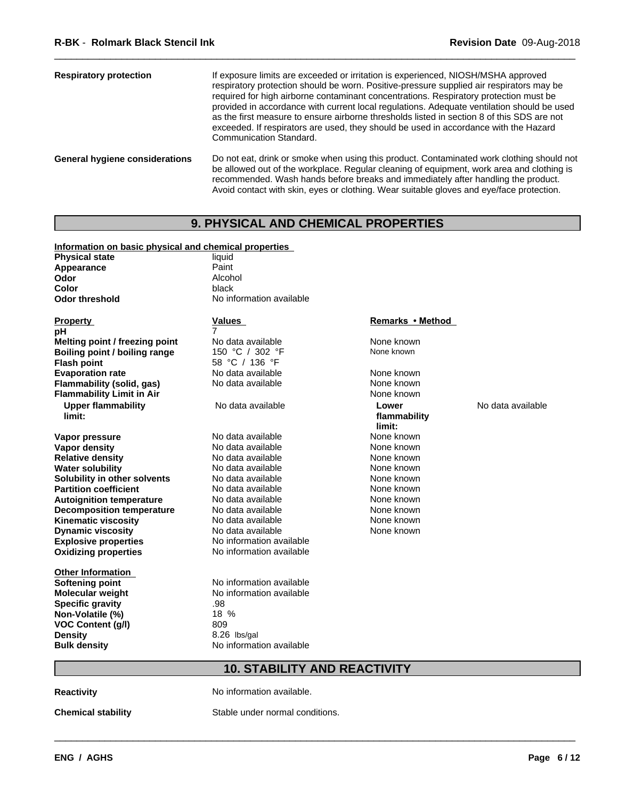| <b>Respiratory protection</b>         | If exposure limits are exceeded or irritation is experienced, NIOSH/MSHA approved<br>respiratory protection should be worn. Positive-pressure supplied air respirators may be<br>required for high airborne contaminant concentrations. Respiratory protection must be<br>provided in accordance with current local regulations. Adequate ventilation should be used<br>as the first measure to ensure airborne thresholds listed in section 8 of this SDS are not<br>exceeded. If respirators are used, they should be used in accordance with the Hazard<br>Communication Standard. |  |  |
|---------------------------------------|---------------------------------------------------------------------------------------------------------------------------------------------------------------------------------------------------------------------------------------------------------------------------------------------------------------------------------------------------------------------------------------------------------------------------------------------------------------------------------------------------------------------------------------------------------------------------------------|--|--|
| <b>General hygiene considerations</b> | Do not eat, drink or smoke when using this product. Contaminated work clothing should not<br>be allowed out of the workplace. Regular cleaning of equipment, work area and clothing is<br>recommended. Wash hands before breaks and immediately after handling the product.<br>Avoid contact with skin, eyes or clothing. Wear suitable gloves and eye/face protection.                                                                                                                                                                                                               |  |  |

# **9. PHYSICAL AND CHEMICAL PROPERTIES**

| Information on basic physical and chemical properties |                                     |                  |                   |
|-------------------------------------------------------|-------------------------------------|------------------|-------------------|
| <b>Physical state</b>                                 | liquid                              |                  |                   |
| Appearance                                            | Paint                               |                  |                   |
| Odor                                                  | Alcohol                             |                  |                   |
| Color                                                 | black                               |                  |                   |
| <b>Odor threshold</b>                                 | No information available            |                  |                   |
| <b>Property</b>                                       | Values                              | Remarks • Method |                   |
| рH                                                    | 7                                   |                  |                   |
| Melting point / freezing point                        | No data available                   | None known       |                   |
| Boiling point / boiling range                         | 150 °C / 302 °F                     | None known       |                   |
| <b>Flash point</b>                                    | 58 °C / 136 °F                      |                  |                   |
| <b>Evaporation rate</b>                               | No data available                   | None known       |                   |
| Flammability (solid, gas)                             | No data available                   | None known       |                   |
| <b>Flammability Limit in Air</b>                      |                                     | None known       |                   |
| <b>Upper flammability</b>                             | No data available                   | Lower            | No data available |
| limit:                                                |                                     | flammability     |                   |
|                                                       |                                     | limit:           |                   |
| Vapor pressure                                        | No data available                   | None known       |                   |
| Vapor density                                         | No data available                   | None known       |                   |
| <b>Relative density</b>                               | No data available                   | None known       |                   |
| <b>Water solubility</b>                               | No data available                   | None known       |                   |
| Solubility in other solvents                          | No data available                   | None known       |                   |
| <b>Partition coefficient</b>                          | No data available                   | None known       |                   |
| <b>Autoignition temperature</b>                       | No data available                   | None known       |                   |
| <b>Decomposition temperature</b>                      | No data available                   | None known       |                   |
| <b>Kinematic viscosity</b>                            | No data available                   | None known       |                   |
| <b>Dynamic viscosity</b>                              | No data available                   | None known       |                   |
| <b>Explosive properties</b>                           | No information available            |                  |                   |
| <b>Oxidizing properties</b>                           | No information available            |                  |                   |
| <b>Other Information</b>                              |                                     |                  |                   |
| <b>Softening point</b>                                | No information available            |                  |                   |
| Molecular weight                                      | No information available            |                  |                   |
| <b>Specific gravity</b>                               | .98                                 |                  |                   |
| Non-Volatile (%)                                      | 18 %                                |                  |                   |
| <b>VOC Content (g/l)</b>                              | 809                                 |                  |                   |
| <b>Density</b>                                        | 8.26 lbs/gal                        |                  |                   |
| <b>Bulk density</b>                                   | No information available            |                  |                   |
|                                                       | <b>10. STABILITY AND REACTIVITY</b> |                  |                   |
| <b>Reactivity</b>                                     | No information available.           |                  |                   |

**Chemical stability** Stable under normal conditions.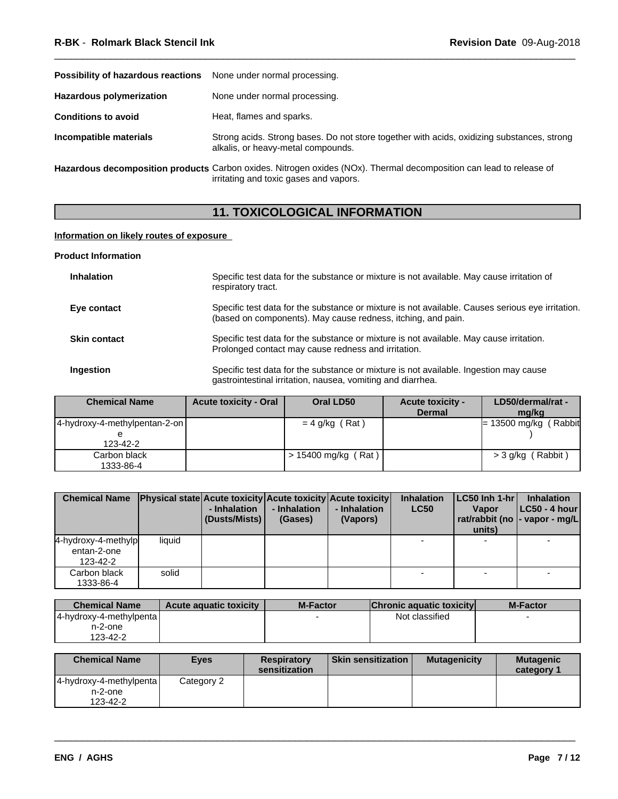| Possibility of hazardous reactions | None under normal processing.                                                                                                                                 |
|------------------------------------|---------------------------------------------------------------------------------------------------------------------------------------------------------------|
| <b>Hazardous polymerization</b>    | None under normal processing.                                                                                                                                 |
| <b>Conditions to avoid</b>         | Heat, flames and sparks.                                                                                                                                      |
| Incompatible materials             | Strong acids. Strong bases. Do not store together with acids, oxidizing substances, strong<br>alkalis, or heavy-metal compounds.                              |
|                                    | Hazardous decomposition products Carbon oxides. Nitrogen oxides (NOx). Thermal decomposition can lead to release of<br>irritating and toxic gases and vapors. |

# **11. TOXICOLOGICAL INFORMATION**

## **Information on likely routes of exposure**

#### **Product Information**

| <b>Inhalation</b>   | Specific test data for the substance or mixture is not available. May cause irritation of<br>respiratory tract.                                                  |
|---------------------|------------------------------------------------------------------------------------------------------------------------------------------------------------------|
| Eye contact         | Specific test data for the substance or mixture is not available. Causes serious eye irritation.<br>(based on components). May cause redness, itching, and pain. |
| <b>Skin contact</b> | Specific test data for the substance or mixture is not available. May cause irritation.<br>Prolonged contact may cause redness and irritation.                   |
| Ingestion           | Specific test data for the substance or mixture is not available. Ingestion may cause<br>gastrointestinal irritation, nausea, vomiting and diarrhea.             |

| <b>Chemical Name</b>          | <b>Acute toxicity - Oral</b> | Oral LD50           | <b>Acute toxicity -</b><br><b>Dermal</b> | LD50/dermal/rat -<br>mg/kg |
|-------------------------------|------------------------------|---------------------|------------------------------------------|----------------------------|
| 4-hydroxy-4-methylpentan-2-on |                              | $= 4$ g/kg (Rat)    |                                          | (Rabbit<br>= 13500 mg/kg ( |
|                               |                              |                     |                                          |                            |
| 123-42-2                      |                              |                     |                                          |                            |
| Carbon black                  |                              | > 15400 mg/kg (Rat) |                                          | > 3 g/kg (Rabbit)          |
| 1333-86-4                     |                              |                     |                                          |                            |

| <b>Chemical Name</b>                           |        | - Inhalation<br>  (Dusts/Mists) | - Inhalation<br>(Gases) | <b>Physical state Acute toxicity Acute toxicity Acute toxicity</b><br>- Inhalation<br>(Vapors) | <b>Inhalation</b><br><b>LC50</b> | $ LC50 $ Inh 1-hr $ $<br><b>Vapor</b><br>units) | <b>Inhalation</b><br>$ LC50 - 4 hour $<br>rat/rabbit (no  - vapor - mg/L |  |
|------------------------------------------------|--------|---------------------------------|-------------------------|------------------------------------------------------------------------------------------------|----------------------------------|-------------------------------------------------|--------------------------------------------------------------------------|--|
| 4-hydroxy-4-methylp<br>entan-2-one<br>123-42-2 | liquid |                                 |                         |                                                                                                |                                  |                                                 |                                                                          |  |
| Carbon black<br>1333-86-4                      | solid  |                                 |                         |                                                                                                |                                  |                                                 |                                                                          |  |

| <b>Chemical Name</b>    | <b>Acute aguatic toxicity</b> | <b>M-Factor</b> | <b>Chronic aquatic toxicity</b> | <b>M-Factor</b> |
|-------------------------|-------------------------------|-----------------|---------------------------------|-----------------|
| 4-hydroxy-4-methylpenta |                               |                 | Not classified                  |                 |
| n-2-one                 |                               |                 |                                 |                 |
| 123-42-2                |                               |                 |                                 |                 |

| <b>Chemical Name</b>    | <b>Eyes</b> | <b>Respiratory</b><br>sensitization | <b>Skin sensitization</b> | <b>Mutagenicity</b> | <b>Mutagenic</b><br>category? |
|-------------------------|-------------|-------------------------------------|---------------------------|---------------------|-------------------------------|
| 4-hydroxy-4-methylpenta | Category 2  |                                     |                           |                     |                               |
| $n-2$ -one              |             |                                     |                           |                     |                               |
| 123-42-2                |             |                                     |                           |                     |                               |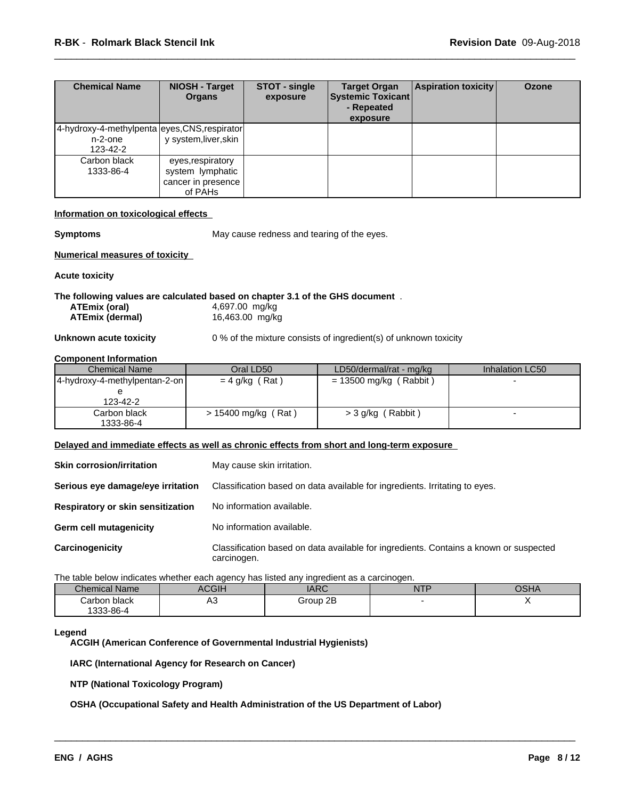| <b>Chemical Name</b>                                                 | <b>NIOSH - Target</b><br><b>Organs</b>                                 | STOT - single<br>exposure | <b>Target Organ</b><br><b>Systemic Toxicant</b><br>- Repeated<br>exposure | <b>Aspiration toxicity</b> | <b>Ozone</b> |
|----------------------------------------------------------------------|------------------------------------------------------------------------|---------------------------|---------------------------------------------------------------------------|----------------------------|--------------|
| 4-hydroxy-4-methylpenta eyes, CNS, respirator<br>n-2-one<br>123-42-2 | y system, liver, skin                                                  |                           |                                                                           |                            |              |
| Carbon black<br>1333-86-4                                            | eyes, respiratory<br>system lymphatic<br>cancer in presence<br>of PAHs |                           |                                                                           |                            |              |

#### **Information on toxicological effects**

**Symptoms** May cause redness and tearing of the eyes.

#### **Numerical measures of toxicity**

#### **Acute toxicity**

# **The following values are calculated based on chapter 3.1 of the GHS document** .

| ATEmix (oral)   | 4,697.00 mg/kg  |
|-----------------|-----------------|
| ATEmix (dermal) | 16,463.00 mg/kg |

**Unknown acute toxicity** 0 % of the mixture consists of ingredient(s) of unknown toxicity

#### **Component Information**

| <b>Chemical Name</b>              | Oral LD50             | LD50/dermal/rat - mg/kg  | Inhalation LC50 |
|-----------------------------------|-----------------------|--------------------------|-----------------|
| $ 4$ -hydroxy-4-methylpentan-2-on | $= 4$ g/kg (Rat)      | $= 13500$ mg/kg (Rabbit) |                 |
|                                   |                       |                          |                 |
| 123-42-2                          |                       |                          |                 |
| Carbon black                      | $> 15400$ mg/kg (Rat) | (Rabbit)<br>$>$ 3 g/kg ( |                 |
| 1333-86-4                         |                       |                          |                 |

#### **Delayed and immediate effects as well as chronic effects from short and long-term exposure**

| <b>Skin corrosion/irritation</b>  | May cause skin irritation.                                                                           |
|-----------------------------------|------------------------------------------------------------------------------------------------------|
| Serious eye damage/eye irritation | Classification based on data available for ingredients. Irritating to eyes.                          |
| Respiratory or skin sensitization | No information available.                                                                            |
| Germ cell mutagenicity            | No information available.                                                                            |
| Carcinogenicity                   | Classification based on data available for ingredients. Contains a known or suspected<br>carcinogen. |

The table below indicates whether each agency has listed any ingredient as a carcinogen.

| <b>Chemical Name</b> | <b>ACGIH</b> | <b>IARC</b> | <b>NTP</b><br>. | $\sim$ $\sim$ $\sim$<br>ו וטע |  |
|----------------------|--------------|-------------|-----------------|-------------------------------|--|
| Carbon black         | ∿י<br>$\sim$ | Group 2B    |                 |                               |  |
| 1333-86-4            |              |             |                 |                               |  |

 $\overline{\phantom{a}}$  ,  $\overline{\phantom{a}}$  ,  $\overline{\phantom{a}}$  ,  $\overline{\phantom{a}}$  ,  $\overline{\phantom{a}}$  ,  $\overline{\phantom{a}}$  ,  $\overline{\phantom{a}}$  ,  $\overline{\phantom{a}}$  ,  $\overline{\phantom{a}}$  ,  $\overline{\phantom{a}}$  ,  $\overline{\phantom{a}}$  ,  $\overline{\phantom{a}}$  ,  $\overline{\phantom{a}}$  ,  $\overline{\phantom{a}}$  ,  $\overline{\phantom{a}}$  ,  $\overline{\phantom{a}}$ 

#### **Legend**

**ACGIH (American Conference of Governmental Industrial Hygienists)**

#### **IARC (International Agency for Research on Cancer)**

**NTP (National Toxicology Program)**

#### **OSHA (Occupational Safety and Health Administration of the US Department of Labor)**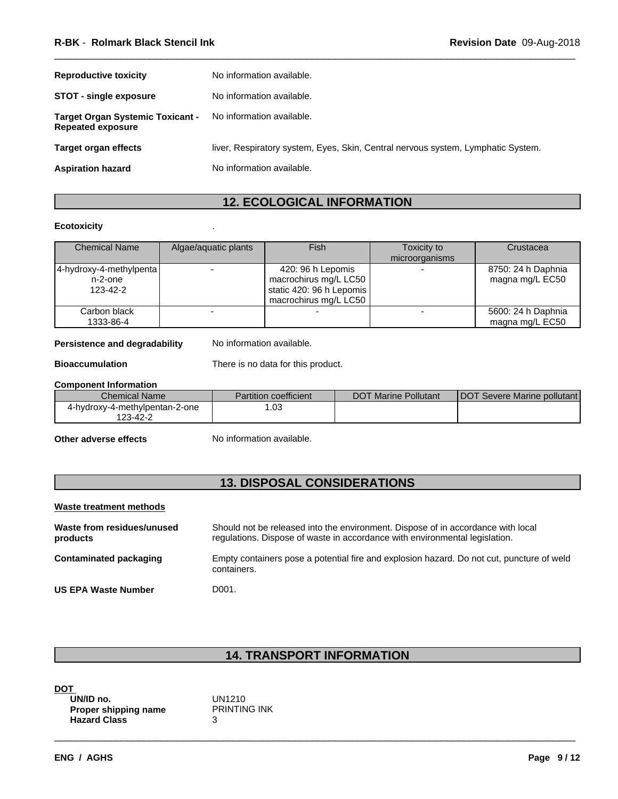| <b>Reproductive toxicity</b>                                        | No information available.                                                        |
|---------------------------------------------------------------------|----------------------------------------------------------------------------------|
| <b>STOT - single exposure</b>                                       | No information available.                                                        |
| <b>Target Organ Systemic Toxicant -</b><br><b>Repeated exposure</b> | No information available.                                                        |
| Target organ effects                                                | liver, Respiratory system, Eyes, Skin, Central nervous system, Lymphatic System. |
| <b>Aspiration hazard</b>                                            | No information available.                                                        |

# **12. ECOLOGICAL INFORMATION**

#### **Ecotoxicity** .

| <b>Chemical Name</b>    | Algae/aquatic plants | Fish                     | Toxicity to    | Crustacea          |
|-------------------------|----------------------|--------------------------|----------------|--------------------|
|                         |                      |                          | microorganisms |                    |
| 4-hydroxy-4-methylpenta |                      | 420: 96 h Lepomis        |                | 8750: 24 h Daphnia |
| $n-2$ -one              |                      | macrochirus mg/L LC50    |                | magna mg/L EC50    |
| 123-42-2                |                      | static 420: 96 h Lepomis |                |                    |
|                         |                      | macrochirus mg/L LC50    |                |                    |
| Carbon black            |                      |                          |                | 5600: 24 h Daphnia |
| 1333-86-4               |                      |                          |                | magna mg/L EC50    |

#### **Persistence and degradability** No information available.

**Bioaccumulation** There is no data for this product.

#### **Component Information**

| <b>Chemical Name</b>           | <b>Partition coefficient</b> | <b>DOT Marine Pollutant</b> | <b>IDOT Severe Marine pollutant</b> |
|--------------------------------|------------------------------|-----------------------------|-------------------------------------|
| 4-hydroxy-4-methylpentan-2-one | .03                          |                             |                                     |
| 123-42-2                       |                              |                             |                                     |

**Other adverse effects** No information available.

## **13. DISPOSAL CONSIDERATIONS**

#### **Waste treatment methods Waste from residues/unused products** Should not be released into the environment. Dispose of in accordance with local regulations. Dispose of waste in accordance with environmental legislation. **Contaminated packaging** Empty containers pose a potential fire and explosion hazard. Do not cut, puncture of weld containers.

**US EPA Waste Number** D001.

## **14. TRANSPORT INFORMATION**

| UN/ID no.            | UN1210              |
|----------------------|---------------------|
| Proper shipping name | <b>PRINTING INK</b> |
| <b>Hazard Class</b>  |                     |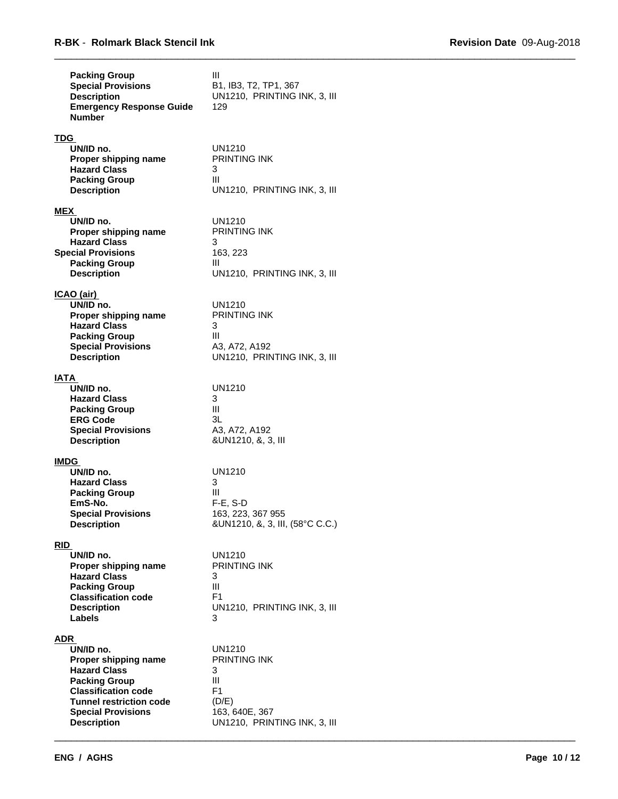| <b>Packing Group</b><br><b>Special Provisions</b><br><b>Description</b><br><b>Emergency Response Guide</b><br><b>Number</b>                                                                                | III<br>B1, IB3, T2, TP1, 367<br>UN1210, PRINTING INK, 3, III<br>129                                                         |  |
|------------------------------------------------------------------------------------------------------------------------------------------------------------------------------------------------------------|-----------------------------------------------------------------------------------------------------------------------------|--|
| TDG<br>UN/ID no.<br>Proper shipping name<br><b>Hazard Class</b><br><b>Packing Group</b><br><b>Description</b>                                                                                              | UN1210<br><b>PRINTING INK</b><br>3<br>Ш<br>UN1210, PRINTING INK, 3, III                                                     |  |
| MEX<br>UN/ID no.<br>Proper shipping name<br><b>Hazard Class</b><br><b>Special Provisions</b><br><b>Packing Group</b><br><b>Description</b>                                                                 | UN1210<br><b>PRINTING INK</b><br>3<br>163, 223<br>Ш<br>UN1210, PRINTING INK, 3, III                                         |  |
| <u>ICAO (air) </u><br>UN/ID no.<br>Proper shipping name<br><b>Hazard Class</b><br><b>Packing Group</b><br><b>Special Provisions</b><br><b>Description</b>                                                  | UN1210<br><b>PRINTING INK</b><br>3<br>Ш<br>A3, A72, A192<br>UN1210, PRINTING INK, 3, III                                    |  |
| IATA<br>UN/ID no.<br><b>Hazard Class</b><br><b>Packing Group</b><br><b>ERG Code</b><br><b>Special Provisions</b><br><b>Description</b>                                                                     | UN1210<br>3<br>Ш<br>3L<br>A3, A72, A192<br>&UN1210, &, 3, III                                                               |  |
| <u>IMDG</u><br>UN/ID no.<br><b>Hazard Class</b><br><b>Packing Group</b><br>EmS-No.<br><b>Special Provisions</b><br><b>Description</b>                                                                      | UN1210<br>3<br>Ш<br>$F-E$ , S-D<br>163, 223, 367 955<br>&UN1210, &, 3, III, (58°C C.C.)                                     |  |
| RID<br>UN/ID no.<br>Proper shipping name<br><b>Hazard Class</b><br><b>Packing Group</b><br><b>Classification code</b><br><b>Description</b><br>Labels                                                      | <b>UN1210</b><br>PRINTING INK<br>3<br>III<br>F <sub>1</sub><br>UN1210, PRINTING INK, 3, III<br>3                            |  |
| ADR<br>UN/ID no.<br>Proper shipping name<br><b>Hazard Class</b><br><b>Packing Group</b><br><b>Classification code</b><br><b>Tunnel restriction code</b><br><b>Special Provisions</b><br><b>Description</b> | <b>UN1210</b><br><b>PRINTING INK</b><br>3<br>Ш<br>F <sub>1</sub><br>(D/E)<br>163, 640E, 367<br>UN1210, PRINTING INK, 3, III |  |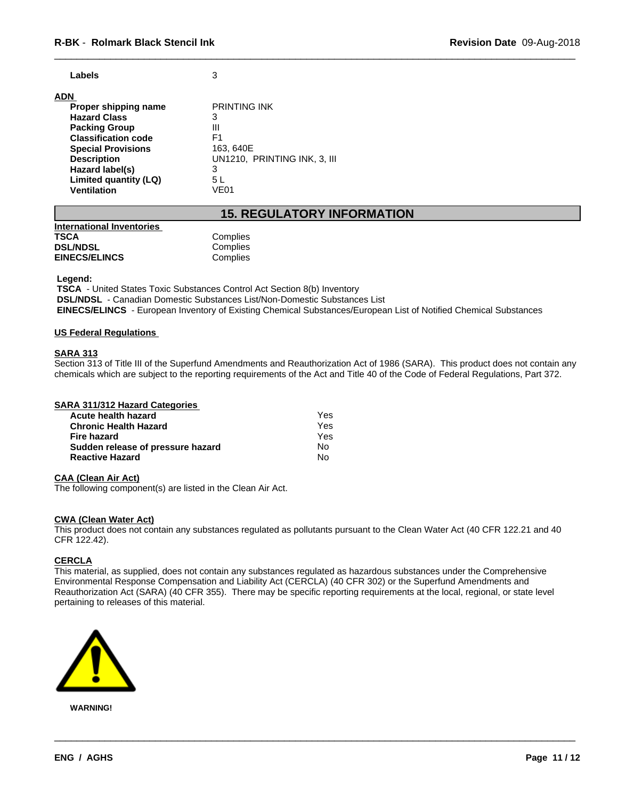#### **ADN**

| .                          |                              |
|----------------------------|------------------------------|
| Proper shipping name       | <b>PRINTING INK</b>          |
| <b>Hazard Class</b>        | 3                            |
| <b>Packing Group</b>       | Ш                            |
| <b>Classification code</b> | F1                           |
| <b>Special Provisions</b>  | 163, 640E                    |
| <b>Description</b>         | UN1210, PRINTING INK, 3, III |
| Hazard label(s)            | 3                            |
| Limited quantity (LQ)      | 5 L                          |
| Ventilation                | VE01                         |

## **15. REGULATORY INFORMATION**

| International Inventories |          |
|---------------------------|----------|
| TSCA                      | Complies |
| <b>DSL/NDSL</b>           | Complies |
| <b>EINECS/ELINCS</b>      | Complies |

#### **Legend:**

 **TSCA** - United States Toxic Substances Control Act Section 8(b) Inventory  **DSL/NDSL** - Canadian Domestic Substances List/Non-Domestic Substances List  **EINECS/ELINCS** - European Inventory of Existing Chemical Substances/European List of Notified Chemical Substances

#### **US Federal Regulations**

#### **SARA 313**

Section 313 of Title III of the Superfund Amendments and Reauthorization Act of 1986 (SARA). This product does not contain any chemicals which are subject to the reporting requirements of the Act and Title 40 of the Code of Federal Regulations, Part 372.

| <b>SARA 311/312 Hazard Categories</b> |  |
|---------------------------------------|--|
|---------------------------------------|--|

| Acute health hazard               | Yes |  |
|-----------------------------------|-----|--|
| <b>Chronic Health Hazard</b>      | Yes |  |
| Fire hazard                       | Yes |  |
| Sudden release of pressure hazard | N٥  |  |
| <b>Reactive Hazard</b>            | N٥  |  |

#### **CAA (Clean Air Act)**

The following component(s) are listed in the Clean Air Act.

#### **CWA** (Clean Water Act)

This product does not contain any substances regulated as pollutants pursuant to the Clean Water Act (40 CFR 122.21 and 40 CFR 122.42).

## **CERCLA**

This material, as supplied, does not contain any substances regulated as hazardous substances under the Comprehensive Environmental Response Compensation and Liability Act (CERCLA) (40 CFR 302) or the Superfund Amendments and Reauthorization Act (SARA) (40 CFR 355). There may be specific reporting requirements at the local, regional, or state level pertaining to releases of this material.

 $\overline{\phantom{a}}$  ,  $\overline{\phantom{a}}$  ,  $\overline{\phantom{a}}$  ,  $\overline{\phantom{a}}$  ,  $\overline{\phantom{a}}$  ,  $\overline{\phantom{a}}$  ,  $\overline{\phantom{a}}$  ,  $\overline{\phantom{a}}$  ,  $\overline{\phantom{a}}$  ,  $\overline{\phantom{a}}$  ,  $\overline{\phantom{a}}$  ,  $\overline{\phantom{a}}$  ,  $\overline{\phantom{a}}$  ,  $\overline{\phantom{a}}$  ,  $\overline{\phantom{a}}$  ,  $\overline{\phantom{a}}$ 



**WARNING!**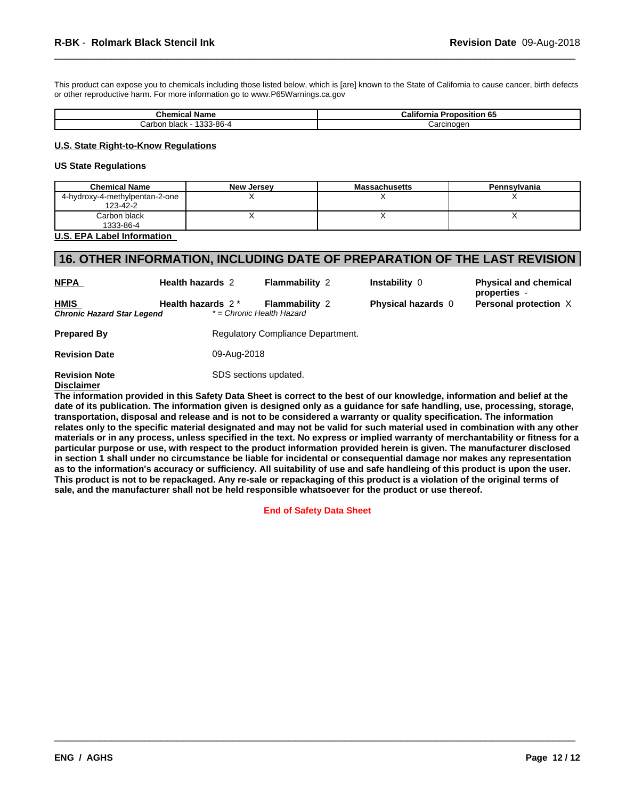This product can expose you to chemicals including those listed below, which is [are] known to the State of California to cause cancer, birth defects or other reproductive harm. For more information go to www.P65Warnings.ca.gov

| .<br><b>Chemical Name</b>    | California<br>o.<br>Proposition 65 |
|------------------------------|------------------------------------|
| '333-86-4<br>black<br>Carbon | Carcinoger                         |

#### **U.S. State Right-to-Know Regulations**

#### **US State Regulations**

| <b>Chemical Name</b>           | <b>New Jersey</b> | <b>Massachusetts</b> | Pennsylvania |
|--------------------------------|-------------------|----------------------|--------------|
| 4-hydroxy-4-methylpentan-2-one |                   |                      |              |
| 123-42-2                       |                   |                      |              |
| Carbon black                   |                   |                      |              |
| 1333-86-4                      |                   |                      |              |
| .<br>. .                       |                   |                      |              |

#### **U.S. EPA Label Information**

## **16. OTHER INFORMATION, INCLUDING DATE OF PREPARATION OF THE LAST REVISION**

| <b>NFPA</b>                               | <b>Health hazards 2</b>       | <b>Flammability 2</b>                              | Instability 0             | <b>Physical and chemical</b>                 |
|-------------------------------------------|-------------------------------|----------------------------------------------------|---------------------------|----------------------------------------------|
| <b>HMIS</b><br>Chronic Hazard Star Legend | Health hazards 2 <sup>*</sup> | <b>Flammability 2</b><br>* = Chronic Health Hazard | <b>Physical hazards</b> 0 | properties -<br><b>Personal protection X</b> |
| <b>Prepared By</b>                        |                               | Regulatory Compliance Department.                  |                           |                                              |
| <b>Revision Date</b>                      | 09-Aug-2018                   |                                                    |                           |                                              |
| <b>Revision Note</b><br><b>Disclaimer</b> | SDS sections updated.         |                                                    |                           |                                              |

The information provided in this Safety Data Sheet is correct to the best of our knowledge, information and belief at the date of its publication. The information given is designed only as a guidance for safe handling, use, processing, storage, transportation, disposal and release and is not to be considered a warranty or quality specification. The information relates only to the specific material designated and may not be valid for such material used in combination with any other materials or in any process, unless specified in the text. No express or implied warranty of merchantability or fitness for a particular purpose or use, with respect to the product information provided herein is given. The manufacturer disclosed in section 1 shall under no circumstance be liable for incidental or consequential damage nor makes any representation as to the information's accuracy or sufficiency. All suitability of use and safe handleing of this product is upon the user. This product is not to be repackaged. Any re-sale or repackaging of this product is a violation of the original terms of **sale, and the manufacturer shall not be held responsible whatsoever for the product or use thereof.**

**End of Safety Data Sheet**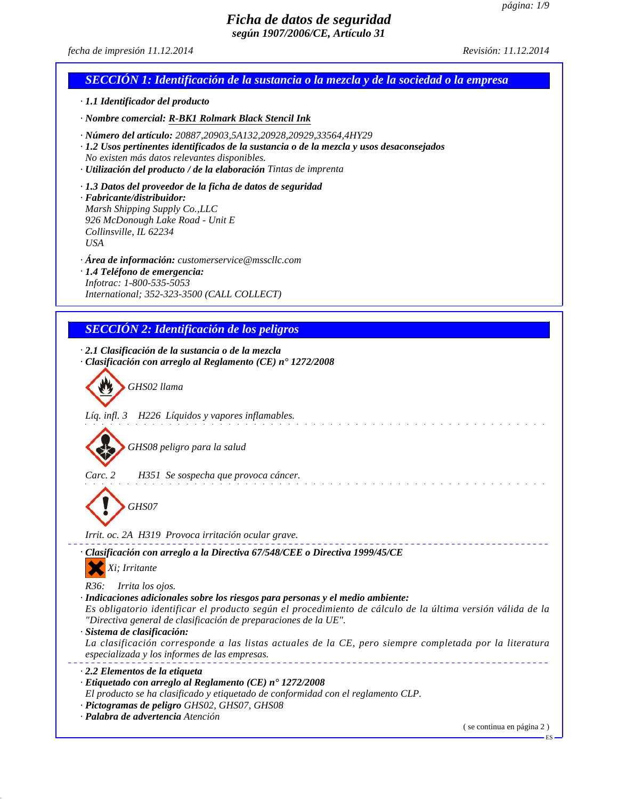*fecha de impresión 11.12.2014 Revisión: 11.12.2014*

# *SECCIÓN 1: Identificación de la sustancia o la mezcla y de la sociedad o la empresa · 1.1 Identificador del producto · Nombre comercial: R-BK1 Rolmark Black Stencil Ink · Número del artículo: 20887,20903,5A132,20928,20929,33564,4HY29 · 1.2 Usos pertinentes identificados de la sustancia o de la mezcla y usos desaconsejados No existen más datos relevantes disponibles. · Utilización del producto / de la elaboración Tintas de imprenta · 1.3 Datos del proveedor de la ficha de datos de seguridad · Fabricante/distribuidor: Marsh Shipping Supply Co.,LLC 926 McDonough Lake Road - Unit E Collinsville, IL 62234 USA · Área de información: customerservice@msscllc.com · 1.4 Teléfono de emergencia: Infotrac: 1-800-535-5053 International; 352-323-3500 (CALL COLLECT) SECCIÓN 2: Identificación de los peligros · 2.1 Clasificación de la sustancia o de la mezcla · Clasificación con arreglo al Reglamento (CE) n° 1272/2008 GHS02 llama Líq. infl. 3 H226 Líquidos y vapores inflamables. GHS08 peligro para la salud Carc. 2 H351 Se sospecha que provoca cáncer.* . . . . . . . . . *GHS07 Irrit. oc. 2A H319 Provoca irritación ocular grave. · Clasificación con arreglo a la Directiva 67/548/CEE o Directiva 1999/45/CE Xi; Irritante R36: Irrita los ojos. · Indicaciones adicionales sobre los riesgos para personas y el medio ambiente: Es obligatorio identificar el producto según el procedimiento de cálculo de la última versión válida de la "Directiva general de clasificación de preparaciones de la UE". · Sistema de clasificación: La clasificación corresponde a las listas actuales de la CE, pero siempre completada por la literatura especializada y los informes de las empresas. · 2.2 Elementos de la etiqueta · Etiquetado con arreglo al Reglamento (CE) n° 1272/2008 El producto se ha clasificado y etiquetado de conformidad con el reglamento CLP. · Pictogramas de peligro GHS02, GHS07, GHS08 · Palabra de advertencia Atención* ( se continua en página 2 )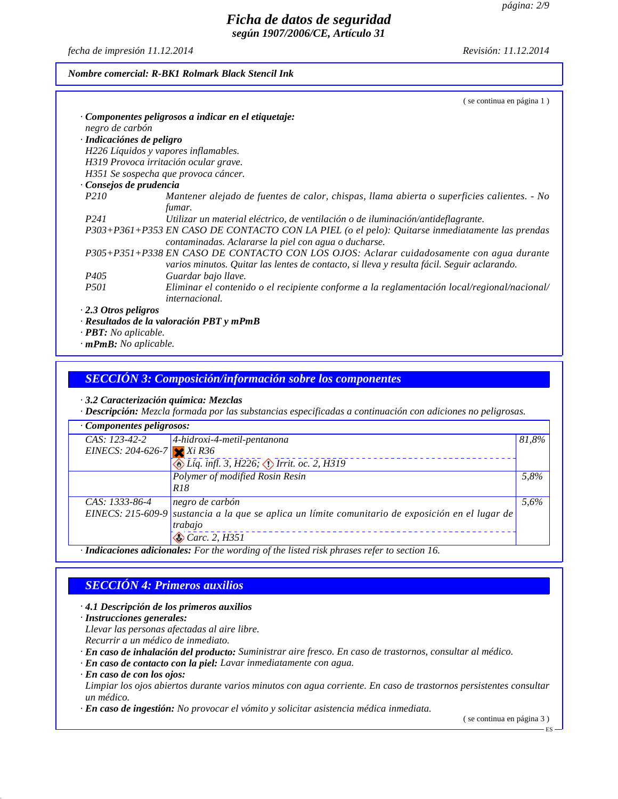*fecha de impresión 11.12.2014 Revisión: 11.12.2014*

## *Nombre comercial: R-BK1 Rolmark Black Stencil Ink*

|                                    | (se continua en página 1)                                                                                                                               |
|------------------------------------|---------------------------------------------------------------------------------------------------------------------------------------------------------|
|                                    | Componentes peligrosos a indicar en el etiquetaje:                                                                                                      |
| negro de carbón                    |                                                                                                                                                         |
| · Indicaciónes de peligro          |                                                                                                                                                         |
|                                    | H226 Líquidos y vapores inflamables.                                                                                                                    |
|                                    | H319 Provoca irritación ocular grave.                                                                                                                   |
|                                    | H351 Se sospecha que provoca cáncer.                                                                                                                    |
| Consejos de prudencia              |                                                                                                                                                         |
| <i>P210</i>                        | Mantener alejado de fuentes de calor, chispas, llama abierta o superficies calientes. - No                                                              |
|                                    | fumar.                                                                                                                                                  |
| P241                               | Utilizar un material eléctrico, de ventilación o de iluminación/antideflagrante.                                                                        |
|                                    | P303+P361+P353 EN CASO DE CONTACTO CON LA PIEL (o el pelo): Quitarse inmediatamente las prendas<br>contaminadas. Aclararse la piel con agua o ducharse. |
|                                    | P305+P351+P338 EN CASO DE CONTACTO CON LOS OJOS: Aclarar cuidadosamente con agua durante                                                                |
|                                    | varios minutos. Quitar las lentes de contacto, si lleva y resulta fácil. Seguir aclarando.                                                              |
| P <sub>405</sub>                   | Guardar bajo llave.                                                                                                                                     |
| <i>P501</i>                        | Eliminar el contenido o el recipiente conforme a la reglamentación local/regional/nacional/                                                             |
|                                    | <i>internacional.</i>                                                                                                                                   |
| $\cdot$ 2.3 Otros peligros         |                                                                                                                                                         |
|                                    | $\cdot$ Resultados de la valoración PBT y mPmB                                                                                                          |
| $\cdot$ <b>PBT</b> : No aplicable. |                                                                                                                                                         |

*· mPmB: No aplicable.*

### *SECCIÓN 3: Composición/información sobre los componentes*

*· 3.2 Caracterización química: Mezclas*

*· Descripción: Mezcla formada por las substancias especificadas a continuación con adiciones no peligrosas.*

| Componentes peligrosos:    |                                                                                                   |       |
|----------------------------|---------------------------------------------------------------------------------------------------|-------|
| $CAS: 123-42-2$            | $4$ -hidroxi-4-metil-pentanona                                                                    | 81,8% |
| EINECS: 204-626-7 $Xi$ R36 |                                                                                                   |       |
|                            | Líq. infl. 3, H226; D Irrit. oc. 2, H319                                                          |       |
|                            | Polymer of modified Rosin Resin                                                                   | 5.8%  |
|                            | R18                                                                                               |       |
| CAS: 1333-86-4             | negro de carbón                                                                                   | 5,6%  |
|                            | EINECS: 215-609-9 sustancia a la que se aplica un límite comunitario de exposición en el lugar de |       |
|                            | trabajo                                                                                           |       |
|                            | Carc. 2, H351                                                                                     |       |
|                            | · Indicaciones adicionales: For the wording of the listed risk phrases refer to section 16.       |       |

## *SECCIÓN 4: Primeros auxilios*

#### *· 4.1 Descripción de los primeros auxilios*

- *· Instrucciones generales:*
- *Llevar las personas afectadas al aire libre.*
- *Recurrir a un médico de inmediato.*
- *· En caso de inhalación del producto: Suministrar aire fresco. En caso de trastornos, consultar al médico.*
- *· En caso de contacto con la piel: Lavar inmediatamente con agua.*
- *· En caso de con los ojos:*

*Limpiar los ojos abiertos durante varios minutos con agua corriente. En caso de trastornos persistentes consultar un médico.*

*· En caso de ingestión: No provocar el vómito y solicitar asistencia médica inmediata.*

( se continua en página 3 )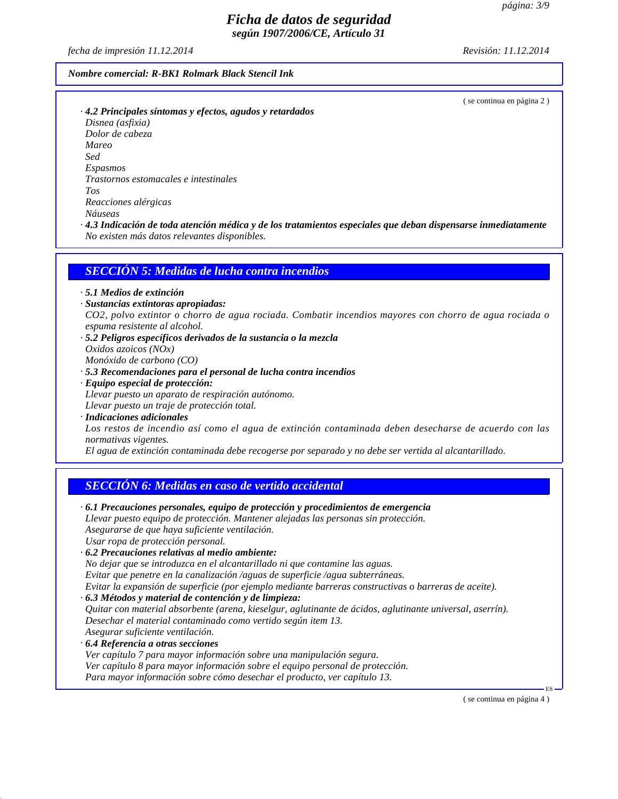*fecha de impresión 11.12.2014 Revisión: 11.12.2014*

## *Nombre comercial: R-BK1 Rolmark Black Stencil Ink*

( se continua en página 2 )

*· 4.2 Principales síntomas y efectos, agudos y retardados Disnea (asfixia) Dolor de cabeza Mareo Sed Espasmos Trastornos estomacales e intestinales Tos Reacciones alérgicas Náuseas*

*· 4.3 Indicación de toda atención médica y de los tratamientos especiales que deban dispensarse inmediatamente No existen más datos relevantes disponibles.*

### *SECCIÓN 5: Medidas de lucha contra incendios*

*· 5.1 Medios de extinción*

- *· Sustancias extintoras apropiadas: CO2, polvo extintor o chorro de agua rociada. Combatir incendios mayores con chorro de agua rociada o espuma resistente al alcohol.*
- *· 5.2 Peligros específicos derivados de la sustancia o la mezcla Oxidos azoicos (NOx) Monóxido de carbono (CO)*
- *· 5.3 Recomendaciones para el personal de lucha contra incendios · Equipo especial de protección: Llevar puesto un aparato de respiración autónomo.*

*Llevar puesto un traje de protección total.*

*· Indicaciones adicionales Los restos de incendio así como el agua de extinción contaminada deben desecharse de acuerdo con las normativas vigentes.*

*El agua de extinción contaminada debe recogerse por separado y no debe ser vertida al alcantarillado.*

### *SECCIÓN 6: Medidas en caso de vertido accidental*

| $\cdot$ 6.1 Precauciones personales, equipo de protección y procedimientos de emergencia                  |  |
|-----------------------------------------------------------------------------------------------------------|--|
| Llevar puesto equipo de protección. Mantener alejadas las personas sin protección.                        |  |
| Asegurarse de que haya suficiente ventilación.                                                            |  |
| Usar ropa de protección personal.                                                                         |  |
| · 6.2 Precauciones relativas al medio ambiente:                                                           |  |
| No dejar que se introduzca en el alcantarillado ni que contamine las aguas.                               |  |
| Evitar que penetre en la canalización /aguas de superficie /agua subterráneas.                            |  |
| Evitar la expansión de superficie (por ejemplo mediante barreras constructivas o barreras de aceite).     |  |
| $\cdot$ 6.3 Métodos y material de contención y de limpieza:                                               |  |
| Quitar con material absorbente (arena, kieselgur, aglutinante de ácidos, aglutinante universal, aserrín). |  |
| Desechar el material contaminado como vertido según item 13.                                              |  |
| Asegurar suficiente ventilación.                                                                          |  |
| $\cdot$ 6.4 Referencia a otras secciones                                                                  |  |
| Ver capítulo 7 para mayor información sobre una manipulación segura.                                      |  |
| Ver capítulo 8 para mayor información sobre el equipo personal de protección.                             |  |
| Para mayor información sobre cómo desechar el producto, ver capítulo 13.                                  |  |
|                                                                                                           |  |

( se continua en página 4 )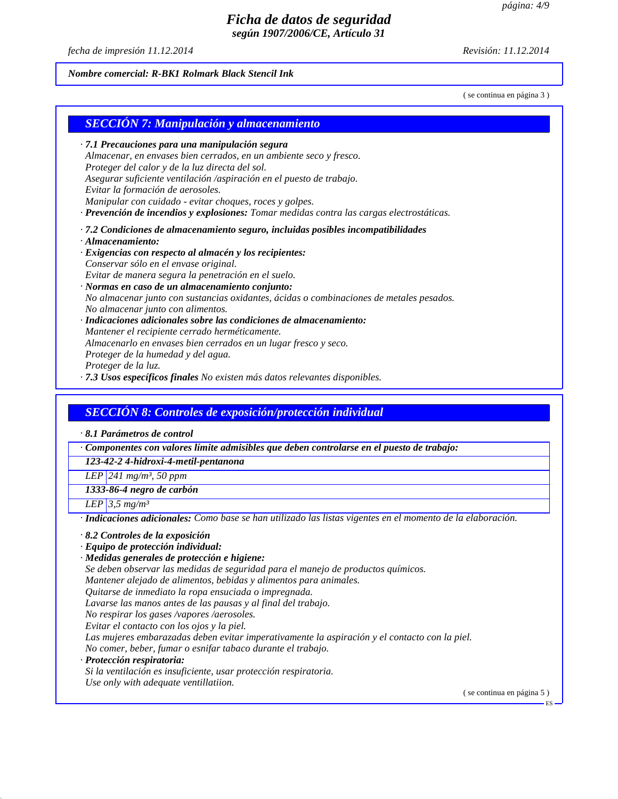*fecha de impresión 11.12.2014 Revisión: 11.12.2014*

# *Nombre comercial: R-BK1 Rolmark Black Stencil Ink*

( se continua en página 3 )

| <b>SECCIÓN 7: Manipulación y almacenamiento</b>                                                                                                                                         |                                                                                                             |
|-----------------------------------------------------------------------------------------------------------------------------------------------------------------------------------------|-------------------------------------------------------------------------------------------------------------|
| · 7.1 Precauciones para una manipulación segura                                                                                                                                         |                                                                                                             |
| Almacenar, en envases bien cerrados, en un ambiente seco y fresco.                                                                                                                      |                                                                                                             |
| Proteger del calor y de la luz directa del sol.                                                                                                                                         |                                                                                                             |
| Asegurar suficiente ventilación /aspiración en el puesto de trabajo.                                                                                                                    |                                                                                                             |
| Evitar la formación de aerosoles.                                                                                                                                                       |                                                                                                             |
| Manipular con cuidado - evitar choques, roces y golpes.                                                                                                                                 |                                                                                                             |
|                                                                                                                                                                                         | · Prevención de incendios y explosiones: Tomar medidas contra las cargas electrostáticas.                   |
| · 7.2 Condiciones de almacenamiento seguro, incluidas posibles incompatibilidades                                                                                                       |                                                                                                             |
| $\cdot$ Almacenamiento:                                                                                                                                                                 |                                                                                                             |
| · Exigencias con respecto al almacén y los recipientes:                                                                                                                                 |                                                                                                             |
| Conservar sólo en el envase original.                                                                                                                                                   |                                                                                                             |
| Evitar de manera segura la penetración en el suelo.                                                                                                                                     |                                                                                                             |
| · Normas en caso de un almacenamiento conjunto:                                                                                                                                         | No almacenar junto con sustancias oxidantes, ácidas o combinaciones de metales pesados.                     |
| No almacenar junto con alimentos.                                                                                                                                                       |                                                                                                             |
| · Indicaciones adicionales sobre las condiciones de almacenamiento:                                                                                                                     |                                                                                                             |
| Mantener el recipiente cerrado herméticamente.                                                                                                                                          |                                                                                                             |
| Almacenarlo en envases bien cerrados en un lugar fresco y seco.                                                                                                                         |                                                                                                             |
| Proteger de la humedad y del agua.                                                                                                                                                      |                                                                                                             |
| Proteger de la luz.                                                                                                                                                                     |                                                                                                             |
| · 7.3 Usos específicos finales No existen más datos relevantes disponibles.                                                                                                             |                                                                                                             |
| <b>SECCIÓN 8: Controles de exposición/protección individual</b>                                                                                                                         |                                                                                                             |
|                                                                                                                                                                                         | Componentes con valores límite admisibles que deben controlarse en el puesto de trabajo:                    |
| 123-42-2 4-hidroxi-4-metil-pentanona                                                                                                                                                    |                                                                                                             |
| LEP 241 $mg/m^3$ , 50 ppm                                                                                                                                                               |                                                                                                             |
| 1333-86-4 negro de carbón                                                                                                                                                               |                                                                                                             |
| LEP 3,5 $mg/m^3$                                                                                                                                                                        |                                                                                                             |
|                                                                                                                                                                                         | · Indicaciones adicionales: Como base se han utilizado las listas vigentes en el momento de la elaboración. |
|                                                                                                                                                                                         |                                                                                                             |
|                                                                                                                                                                                         |                                                                                                             |
|                                                                                                                                                                                         |                                                                                                             |
| Se deben observar las medidas de seguridad para el manejo de productos químicos.                                                                                                        |                                                                                                             |
| Mantener alejado de alimentos, bebidas y alimentos para animales.                                                                                                                       |                                                                                                             |
| Quitarse de inmediato la ropa ensuciada o impregnada.                                                                                                                                   |                                                                                                             |
| Lavarse las manos antes de las pausas y al final del trabajo.                                                                                                                           |                                                                                                             |
| No respirar los gases /vapores /aerosoles.                                                                                                                                              |                                                                                                             |
| Evitar el contacto con los ojos y la piel.                                                                                                                                              |                                                                                                             |
|                                                                                                                                                                                         | Las mujeres embarazadas deben evitar imperativamente la aspiración y el contacto con la piel.               |
| No comer, beber, fumar o esnifar tabaco durante el trabajo.                                                                                                                             |                                                                                                             |
| 8.1 Parámetros de control<br>$\cdot$ 8.2 Controles de la exposición<br>· Equipo de protección individual:<br>· Medidas generales de protección e higiene:<br>· Protección respiratoria: |                                                                                                             |
| Si la ventilación es insuficiente, usar protección respiratoria.<br>Use only with adequate ventillatiion.                                                                               |                                                                                                             |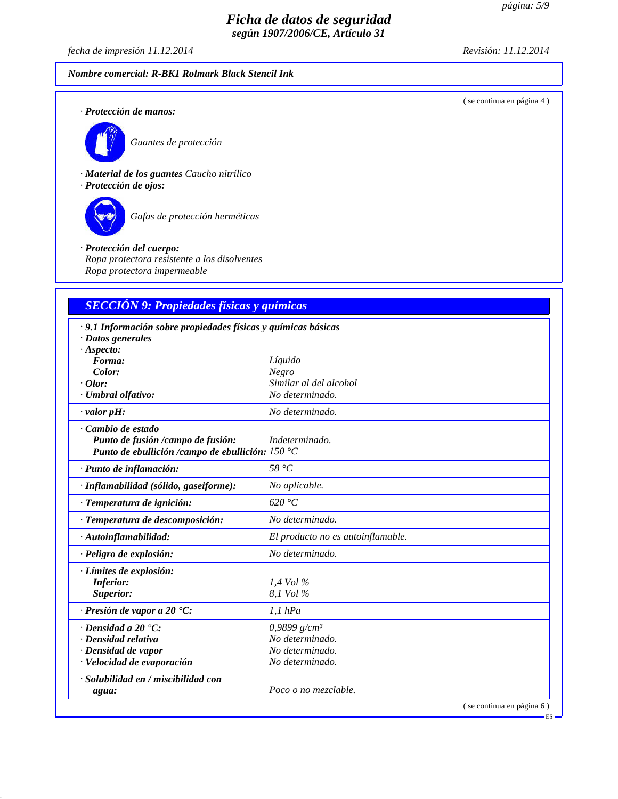*fecha de impresión 11.12.2014 Revisión: 11.12.2014*

*Nombre comercial: R-BK1 Rolmark Black Stencil Ink*

( se continua en página 4 )

*· Protección de manos:*



*Guantes de protección*

*· Material de los guantes Caucho nitrílico · Protección de ojos:*



*Gafas de protección herméticas*

### *· Protección del cuerpo: Ropa protectora resistente a los disolventes Ropa protectora impermeable*

## *SECCIÓN 9: Propiedades físicas y químicas*

| · 9.1 Información sobre propiedades físicas y químicas básicas |                                   |
|----------------------------------------------------------------|-----------------------------------|
| $\cdot$ Datos generales                                        |                                   |
| ·A <sub>s</sub> pecto:                                         |                                   |
| Forma:                                                         | Líquido                           |
| Color:                                                         | Negro                             |
| $·$ <i>Olor</i> :                                              | Similar al del alcohol            |
| · Umbral olfativo:                                             | No determinado.                   |
| $\cdot$ valor pH:                                              | No determinado.                   |
| Cambio de estado                                               |                                   |
| Punto de fusión /campo de fusión:                              | Indeterminado.                    |
| Punto de ebullición /campo de ebullición: $150 °C$             |                                   |
| · Punto de inflamación:                                        | 58 $\degree C$                    |
| · Inflamabilidad (sólido, gaseiforme):                         | No aplicable.                     |
| · Temperatura de ignición:                                     | 620 °C                            |
| · Temperatura de descomposición:                               | No determinado.                   |
| $\cdot$ Autoinflamabilidad:                                    | El producto no es autoinflamable. |
| · Peligro de explosión:                                        | No determinado.                   |
| · Límites de explosión:                                        |                                   |
| <b>Inferior:</b>                                               | $1.4$ Vol $\%$                    |
| Superior:                                                      | 8.1 Vol %                         |
| $\cdot$ Presión de vapor a 20 °C:                              | 1,1 hPa                           |
| $\cdot$ Densidad a 20 $\cdot$ C:                               | 0,9899 $g/cm^3$                   |
| · Densidad relativa                                            | No determinado.                   |
| · Densidad de vapor                                            | No determinado.                   |
| · Velocidad de evaporación                                     | No determinado.                   |
| · Solubilidad en / miscibilidad con                            |                                   |
| agua:                                                          | Poco o no mezclable.              |
|                                                                | (se continua en página 6)         |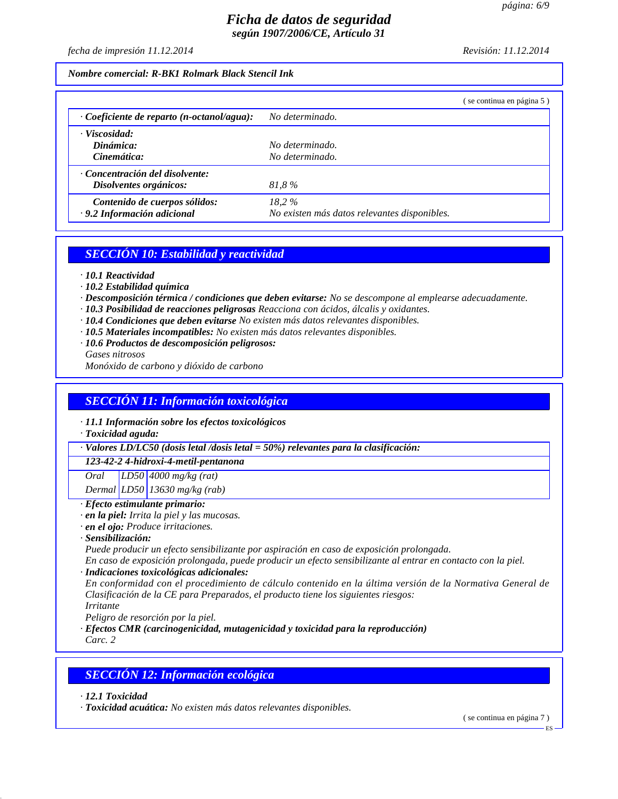*fecha de impresión 11.12.2014 Revisión: 11.12.2014*

### *Nombre comercial: R-BK1 Rolmark Black Stencil Ink*

|                                                  | se continua en página 5)                     |  |
|--------------------------------------------------|----------------------------------------------|--|
| $\cdot$ Coeficiente de reparto (n-octanol/agua): | No determinado.                              |  |
| · Viscosidad:                                    |                                              |  |
| Dinámica:                                        | No determinado.                              |  |
| Cinemática:                                      | No determinado.                              |  |
| Concentración del disolvente:                    |                                              |  |
| Disolventes orgánicos:                           | 81.8%                                        |  |
| Contenido de cuerpos sólidos:                    | $18.2\%$                                     |  |
| · 9.2 Información adicional                      | No existen más datos relevantes disponibles. |  |

## *SECCIÓN 10: Estabilidad y reactividad*

- *· 10.1 Reactividad*
- *· 10.2 Estabilidad química*
- *· Descomposición térmica / condiciones que deben evitarse: No se descompone al emplearse adecuadamente.*
- *· 10.3 Posibilidad de reacciones peligrosas Reacciona con ácidos, álcalis y oxidantes.*
- *· 10.4 Condiciones que deben evitarse No existen más datos relevantes disponibles.*
- *· 10.5 Materiales incompatibles: No existen más datos relevantes disponibles.*
- *· 10.6 Productos de descomposición peligrosos: Gases nitrosos*

*Monóxido de carbono y dióxido de carbono*

## *SECCIÓN 11: Información toxicológica*

- *· 11.1 Información sobre los efectos toxicológicos*
- *· Toxicidad aguda:*

*· Valores LD/LC50 (dosis letal /dosis letal = 50%) relevantes para la clasificación:*

*123-42-2 4-hidroxi-4-metil-pentanona*

*Oral LD50 4000 mg/kg (rat)*

*Dermal LD50 13630 mg/kg (rab)*

- *· Efecto estimulante primario:*
- *· en la piel: Irrita la piel y las mucosas.*
- *· en el ojo: Produce irritaciones.*
- *· Sensibilización:*

*Puede producir un efecto sensibilizante por aspiración en caso de exposición prolongada.*

*En caso de exposición prolongada, puede producir un efecto sensibilizante al entrar en contacto con la piel. · Indicaciones toxicológicas adicionales:*

*En conformidad con el procedimiento de cálculo contenido en la última versión de la Normativa General de Clasificación de la CE para Preparados, el producto tiene los siguientes riesgos:*

*Irritante Peligro de resorción por la piel.*

*· Efectos CMR (carcinogenicidad, mutagenicidad y toxicidad para la reproducción)*

*Carc. 2*

## *SECCIÓN 12: Información ecológica*

*· 12.1 Toxicidad*

*· Toxicidad acuática: No existen más datos relevantes disponibles.*

( se continua en página 7 )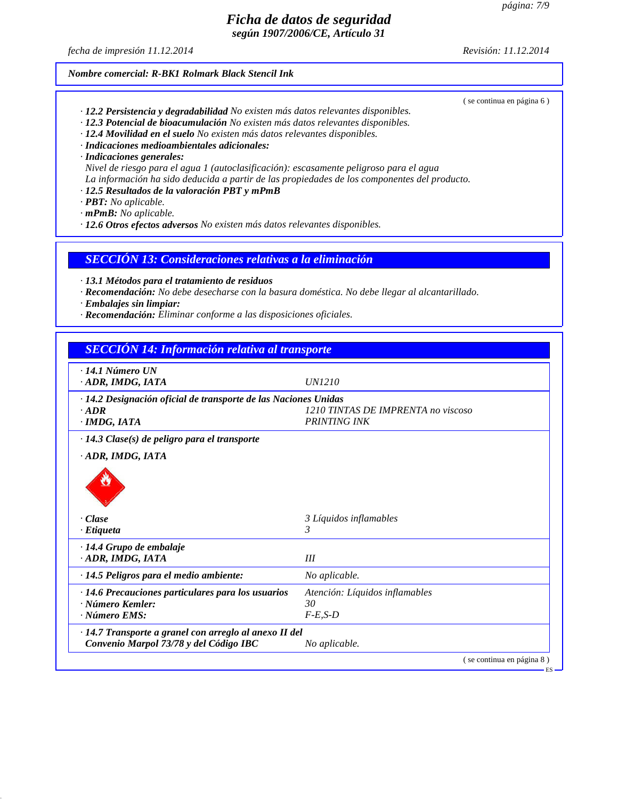ES

## *Ficha de datos de seguridad según 1907/2006/CE, Artículo 31*

*fecha de impresión 11.12.2014 Revisión: 11.12.2014*

( se continua en página 6 )

## *Nombre comercial: R-BK1 Rolmark Black Stencil Ink*

- *· 12.2 Persistencia y degradabilidad No existen más datos relevantes disponibles.*
- *· 12.3 Potencial de bioacumulación No existen más datos relevantes disponibles.*
- *· 12.4 Movilidad en el suelo No existen más datos relevantes disponibles.*
- *· Indicaciones medioambientales adicionales:*
- *· Indicaciones generales:*

*Nivel de riesgo para el agua 1 (autoclasificación): escasamente peligroso para el agua La información ha sido deducida a partir de las propiedades de los componentes del producto.*

- *· 12.5 Resultados de la valoración PBT y mPmB*
- *· PBT: No aplicable.*

*· mPmB: No aplicable.*

*· 12.6 Otros efectos adversos No existen más datos relevantes disponibles.*

*SECCIÓN 13: Consideraciones relativas a la eliminación*

*· 13.1 Métodos para el tratamiento de residuos*

- *· Recomendación: No debe desecharse con la basura doméstica. No debe llegar al alcantarillado.*
- *· Embalajes sin limpiar:*
- *· Recomendación: Eliminar conforme a las disposiciones oficiales.*

# *SECCIÓN 14: Información relativa al transporte · 14.1 Número UN · ADR, IMDG, IATA UN1210 · 14.2 Designación oficial de transporte de las Naciones Unidas · ADR 1210 TINTAS DE IMPRENTA no viscoso · IMDG, IATA PRINTING INK · 14.3 Clase(s) de peligro para el transporte · ADR, IMDG, IATA · Clase 3 Líquidos inflamables · Etiqueta 3 · 14.4 Grupo de embalaje · ADR, IMDG, IATA III · 14.5 Peligros para el medio ambiente: No aplicable. · 14.6 Precauciones particulares para los usuarios Atención: Líquidos inflamables · Número Kemler: 30 · Número EMS: F-E,S-D · 14.7 Transporte a granel con arreglo al anexo II del Convenio Marpol 73/78 y del Código IBC No aplicable.* ( se continua en página 8 )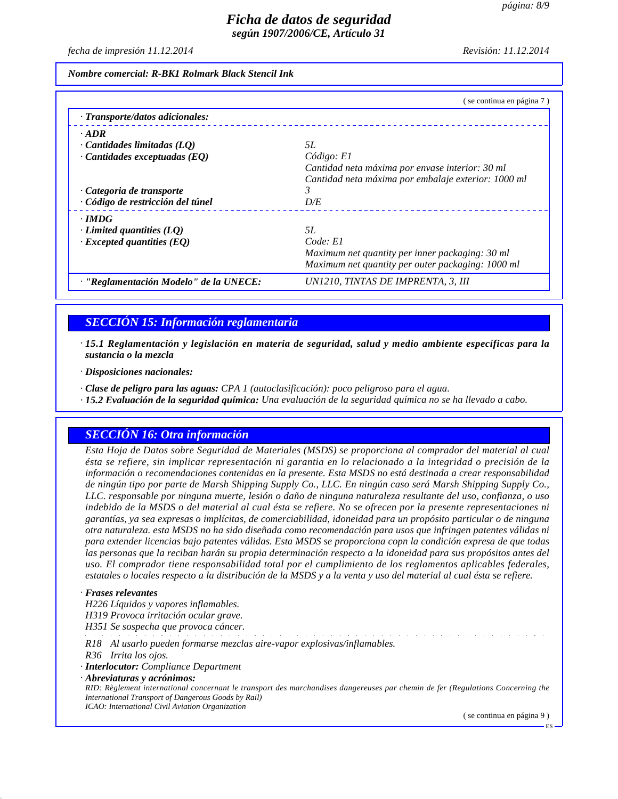*fecha de impresión 11.12.2014 Revisión: 11.12.2014*

*Nombre comercial: R-BK1 Rolmark Black Stencil Ink*

|                                        | (se continua en página 7)                           |
|----------------------------------------|-----------------------------------------------------|
| · Transporte/datos adicionales:        |                                                     |
| $\cdot$ ADR                            |                                                     |
| Cantidades limitadas (LO)              | 5L                                                  |
| $\cdot$ Cantidades exceptuadas (EQ)    | Código: El                                          |
|                                        | Cantidad neta máxima por envase interior: 30 ml     |
|                                        | Cantidad neta máxima por embalaje exterior: 1000 ml |
| Categoria de transporte                |                                                     |
| · Código de restricción del túnel      | D/E                                                 |
| $\cdot$ IMDG                           |                                                     |
| Limited quantities $(LQ)$              | 5L                                                  |
| $\cdot$ Excepted quantities (EQ)       | Code: El                                            |
|                                        | Maximum net quantity per inner packaging: 30 ml     |
|                                        | Maximum net quantity per outer packaging: 1000 ml   |
| · "Reglamentación Modelo" de la UNECE: | UN1210, TINTAS DE IMPRENTA, 3, III                  |

## *SECCIÓN 15: Información reglamentaria*

*· 15.1 Reglamentación y legislación en materia de seguridad, salud y medio ambiente específicas para la sustancia o la mezcla*

*· Disposiciones nacionales:*

*· Clase de peligro para las aguas: CPA 1 (autoclasificación): poco peligroso para el agua.*

*· 15.2 Evaluación de la seguridad química: Una evaluación de la seguridad química no se ha llevado a cabo.*

## *SECCIÓN 16: Otra información*

*Esta Hoja de Datos sobre Seguridad de Materiales (MSDS) se proporciona al comprador del material al cual ésta se refiere, sin implicar representación ni garantia en lo relacionado a la integridad o precisión de la información o recomendaciones contenidas en la presente. Esta MSDS no está destinada a crear responsabilidad de ningún tipo por parte de Marsh Shipping Supply Co., LLC. En ningún caso será Marsh Shipping Supply Co., LLC. responsable por ninguna muerte, lesión o daño de ninguna naturaleza resultante del uso, confianza, o uso indebido de la MSDS o del material al cual ésta se refiere. No se ofrecen por la presente representaciones ni garantías, ya sea expresas o implícitas, de comerciabilidad, idoneidad para un propósito particular o de ninguna otra naturaleza. esta MSDS no ha sido diseñada como recomendación para usos que infringen patentes válidas ni para extender licencias bajo patentes válidas. Esta MSDS se proporciona copn la condición expresa de que todas las personas que la reciban harán su propia determinación respecto a la idoneidad para sus propósitos antes del uso. El comprador tiene responsabilidad total por el cumplimiento de los reglamentos aplicables federales, estatales o locales respecto a la distribución de la MSDS y a la venta y uso del material al cual ésta se refiere.*

#### *· Frases relevantes*

*H226 Líquidos y vapores inflamables.*

*H319 Provoca irritación ocular grave.*

*H351 Se sospecha que provoca cáncer.*

*R18 Al usarlo pueden formarse mezclas aire-vapor explosivas/inflamables.*

*R36 Irrita los ojos.*

*· Interlocutor: Compliance Department*

*· Abreviaturas y acrónimos:*

*RID: Règlement international concernant le transport des marchandises dangereuses par chemin de fer (Regulations Concerning the International Transport of Dangerous Goods by Rail) ICAO: International Civil Aviation Organization*

( se continua en página 9 )